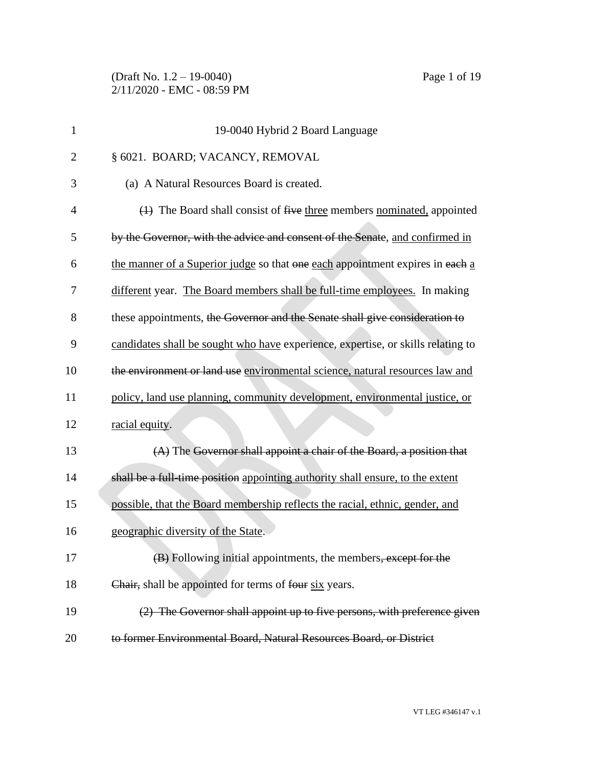(Draft No. 1.2 – 19-0040) Page 1 of 19 2/11/2020 - EMC - 08:59 PM

| $\mathbf{1}$   | 19-0040 Hybrid 2 Board Language                                                               |
|----------------|-----------------------------------------------------------------------------------------------|
| $\overline{2}$ | § 6021. BOARD; VACANCY, REMOVAL                                                               |
| 3              | (a) A Natural Resources Board is created.                                                     |
| 4              | $\left(\frac{1}{2}\right)$ The Board shall consist of five three members nominated, appointed |
| 5              | by the Governor, with the advice and consent of the Senate, and confirmed in                  |
| 6              | the manner of a Superior judge so that one each appointment expires in each a                 |
| 7              | different year. The Board members shall be full-time employees. In making                     |
| 8              | these appointments, the Governor and the Senate shall give consideration to                   |
| 9              | candidates shall be sought who have experience, expertise, or skills relating to              |
| 10             | the environment or land use environmental science, natural resources law and                  |
| 11             | policy, land use planning, community development, environmental justice, or                   |
| 12             | racial equity.                                                                                |
| 13             | (A) The Governor shall appoint a chair of the Board, a position that                          |
| 14             | shall be a full-time position appointing authority shall ensure, to the extent                |
| 15             | possible, that the Board membership reflects the racial, ethnic, gender, and                  |
| 16             | geographic diversity of the State.                                                            |
| 17             | (B) Following initial appointments, the members, except for the                               |
| 18             | Chair, shall be appointed for terms of four six years.                                        |
| 19             | (2) The Governor shall appoint up to five persons, with preference given                      |
| 20             | to former Environmental Board, Natural Resources Board, or District                           |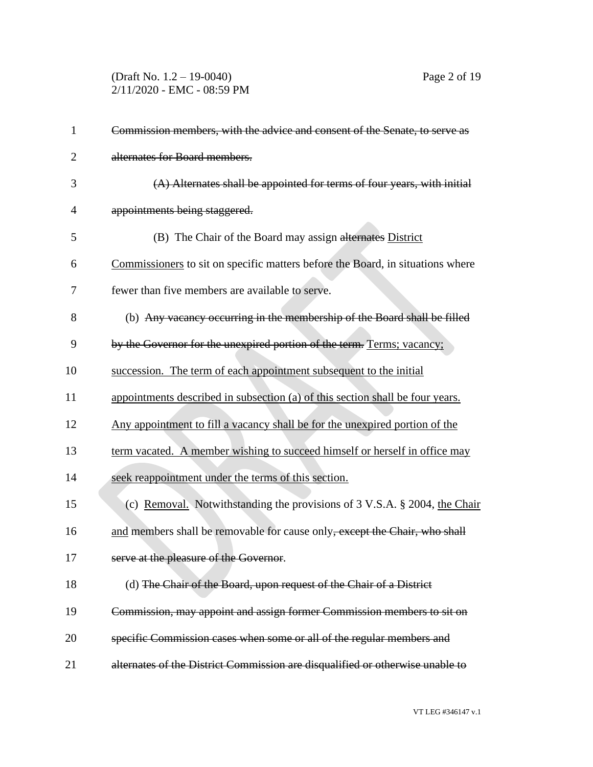(Draft No. 1.2 – 19-0040) Page 2 of 19 2/11/2020 - EMC - 08:59 PM

| $\mathbf{1}$   | Commission members, with the advice and consent of the Senate, to serve as     |
|----------------|--------------------------------------------------------------------------------|
| $\overline{2}$ | alternates for Board members.                                                  |
| 3              | (A) Alternates shall be appointed for terms of four years, with initial        |
| 4              | appointments being staggered.                                                  |
| 5              | (B) The Chair of the Board may assign alternates District                      |
| 6              | Commissioners to sit on specific matters before the Board, in situations where |
| 7              | fewer than five members are available to serve.                                |
| 8              | (b) Any vacancy occurring in the membership of the Board shall be filled       |
| 9              | by the Governor for the unexpired portion of the term. Terms; vacancy;         |
| 10             | succession. The term of each appointment subsequent to the initial             |
| 11             | appointments described in subsection (a) of this section shall be four years.  |
| 12             | Any appointment to fill a vacancy shall be for the unexpired portion of the    |
| 13             | term vacated. A member wishing to succeed himself or herself in office may     |
| 14             | seek reappointment under the terms of this section.                            |
| 15             | (c) Removal. Notwithstanding the provisions of 3 V.S.A. § 2004, the Chair      |
| 16             | and members shall be removable for cause only, except the Chair, who shall     |
| 17             | serve at the pleasure of the Governor.                                         |
| 18             | (d) The Chair of the Board, upon request of the Chair of a District            |
| 19             | Commission, may appoint and assign former Commission members to sit on         |
| 20             | specific Commission cases when some or all of the regular members and          |
| 21             | alternates of the District Commission are disqualified or otherwise unable to  |

VT LEG #346147 v.1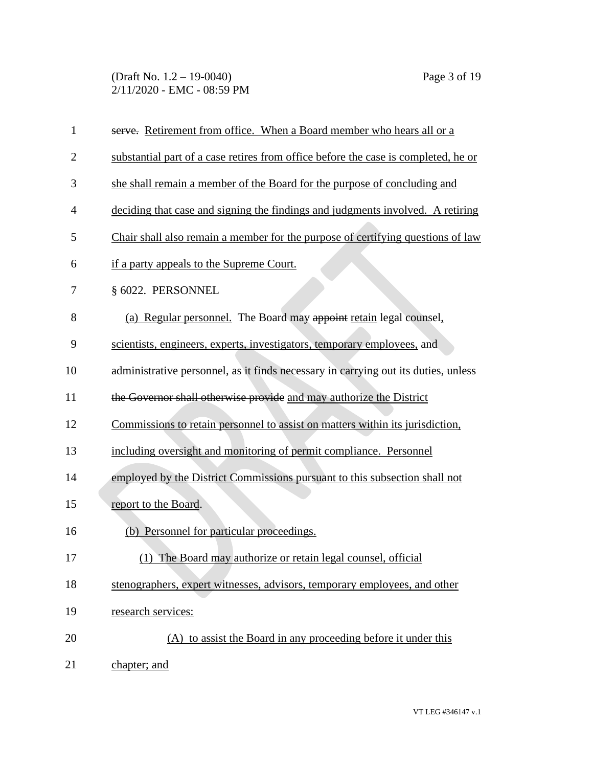(Draft No. 1.2 – 19-0040) Page 3 of 19 2/11/2020 - EMC - 08:59 PM

| $\mathbf{1}$   | serve. Retirement from office. When a Board member who hears all or a              |
|----------------|------------------------------------------------------------------------------------|
| $\overline{2}$ | substantial part of a case retires from office before the case is completed, he or |
| 3              | she shall remain a member of the Board for the purpose of concluding and           |
| $\overline{4}$ | deciding that case and signing the findings and judgments involved. A retiring     |
| 5              | Chair shall also remain a member for the purpose of certifying questions of law    |
| 6              | if a party appeals to the Supreme Court.                                           |
| 7              | § 6022. PERSONNEL                                                                  |
| 8              | (a) Regular personnel. The Board may appoint retain legal counsel,                 |
| 9              | scientists, engineers, experts, investigators, temporary employees, and            |
| 10             | administrative personnel, as it finds necessary in carrying out its duties, unless |
| 11             | the Governor shall otherwise provide and may authorize the District                |
| 12             | Commissions to retain personnel to assist on matters within its jurisdiction,      |
| 13             | including oversight and monitoring of permit compliance. Personnel                 |
| 14             | employed by the District Commissions pursuant to this subsection shall not         |
| 15             | report to the Board.                                                               |
| 16             | (b) Personnel for particular proceedings.                                          |
| 17             | (1) The Board may authorize or retain legal counsel, official                      |
| 18             | stenographers, expert witnesses, advisors, temporary employees, and other          |
| 19             | research services:                                                                 |
| 20             | (A) to assist the Board in any proceeding before it under this                     |
| 21             | chapter; and                                                                       |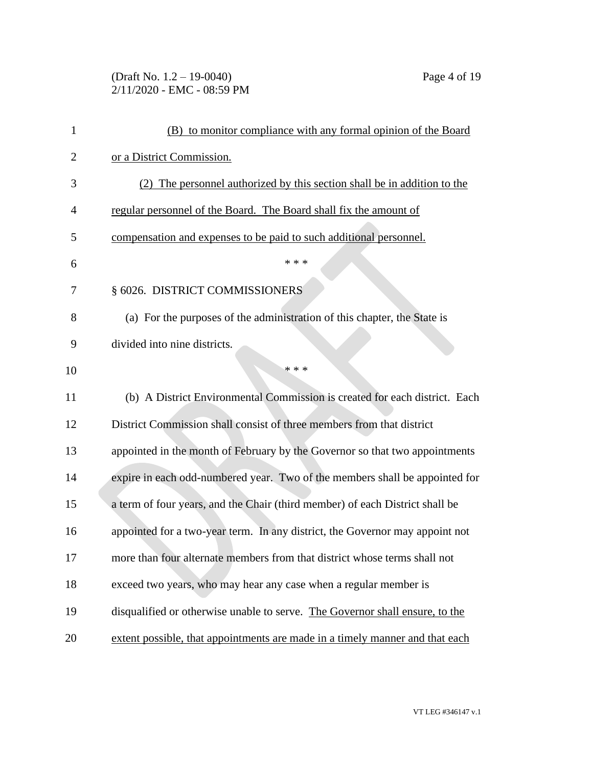# (Draft No. 1.2 – 19-0040) Page 4 of 19 2/11/2020 - EMC - 08:59 PM

| 1              | (B) to monitor compliance with any formal opinion of the Board               |
|----------------|------------------------------------------------------------------------------|
| 2              | or a District Commission.                                                    |
| 3              | (2) The personnel authorized by this section shall be in addition to the     |
| $\overline{4}$ | regular personnel of the Board. The Board shall fix the amount of            |
| 5              | compensation and expenses to be paid to such additional personnel.           |
| 6              | * * *                                                                        |
| 7              | § 6026. DISTRICT COMMISSIONERS                                               |
| 8              | (a) For the purposes of the administration of this chapter, the State is     |
| 9              | divided into nine districts.                                                 |
| 10             | * * *                                                                        |
| 11             | (b) A District Environmental Commission is created for each district. Each   |
| 12             | District Commission shall consist of three members from that district        |
| 13             | appointed in the month of February by the Governor so that two appointments  |
| 14             | expire in each odd-numbered year. Two of the members shall be appointed for  |
| 15             | a term of four years, and the Chair (third member) of each District shall be |
| 16             | appointed for a two-year term. In any district, the Governor may appoint not |
| 17             | more than four alternate members from that district whose terms shall not    |
| 18             | exceed two years, who may hear any case when a regular member is             |
| 19             | disqualified or otherwise unable to serve. The Governor shall ensure, to the |
| 20             | extent possible, that appointments are made in a timely manner and that each |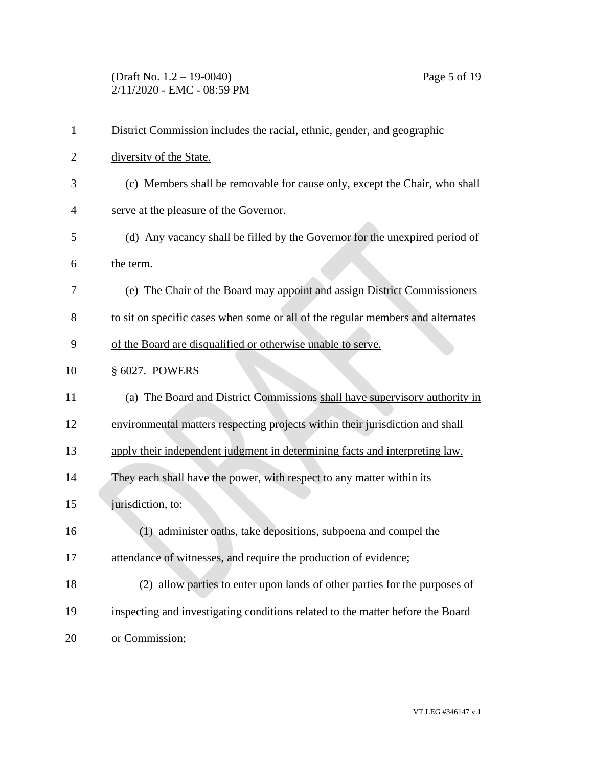(Draft No. 1.2 – 19-0040) Page 5 of 19 2/11/2020 - EMC - 08:59 PM

| $\mathbf{1}$   | District Commission includes the racial, ethnic, gender, and geographic         |
|----------------|---------------------------------------------------------------------------------|
| $\overline{2}$ | diversity of the State.                                                         |
| 3              | (c) Members shall be removable for cause only, except the Chair, who shall      |
| 4              | serve at the pleasure of the Governor.                                          |
| 5              | (d) Any vacancy shall be filled by the Governor for the unexpired period of     |
| 6              | the term.                                                                       |
| 7              | (e) The Chair of the Board may appoint and assign District Commissioners        |
| 8              | to sit on specific cases when some or all of the regular members and alternates |
| 9              | of the Board are disqualified or otherwise unable to serve.                     |
| 10             | § 6027. POWERS                                                                  |
| 11             | (a) The Board and District Commissions shall have supervisory authority in      |
| 12             | environmental matters respecting projects within their jurisdiction and shall   |
| 13             | apply their independent judgment in determining facts and interpreting law.     |
| 14             | They each shall have the power, with respect to any matter within its           |
| 15             | jurisdiction, to:                                                               |
| 16             | (1) administer oaths, take depositions, subpoena and compel the                 |
| 17             | attendance of witnesses, and require the production of evidence;                |
| 18             | (2) allow parties to enter upon lands of other parties for the purposes of      |
| 19             | inspecting and investigating conditions related to the matter before the Board  |
| 20             | or Commission;                                                                  |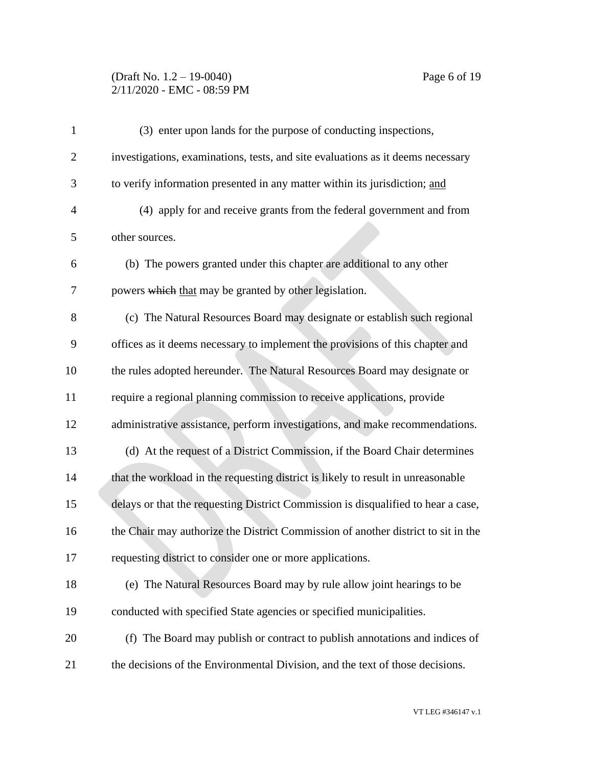### (Draft No. 1.2 – 19-0040) Page 6 of 19 2/11/2020 - EMC - 08:59 PM

| $\mathbf{1}$   | (3) enter upon lands for the purpose of conducting inspections,                   |
|----------------|-----------------------------------------------------------------------------------|
| 2              | investigations, examinations, tests, and site evaluations as it deems necessary   |
| 3              | to verify information presented in any matter within its jurisdiction; and        |
| $\overline{4}$ | (4) apply for and receive grants from the federal government and from             |
| 5              | other sources.                                                                    |
| 6              | (b) The powers granted under this chapter are additional to any other             |
| 7              | powers which that may be granted by other legislation.                            |
| 8              | (c) The Natural Resources Board may designate or establish such regional          |
| 9              | offices as it deems necessary to implement the provisions of this chapter and     |
| 10             | the rules adopted hereunder. The Natural Resources Board may designate or         |
| 11             | require a regional planning commission to receive applications, provide           |
| 12             | administrative assistance, perform investigations, and make recommendations.      |
| 13             | (d) At the request of a District Commission, if the Board Chair determines        |
| 14             | that the workload in the requesting district is likely to result in unreasonable  |
| 15             | delays or that the requesting District Commission is disqualified to hear a case, |
| 16             | the Chair may authorize the District Commission of another district to sit in the |
| 17             | requesting district to consider one or more applications.                         |
| 18             | (e) The Natural Resources Board may by rule allow joint hearings to be            |
| 19             | conducted with specified State agencies or specified municipalities.              |
| 20             | (f) The Board may publish or contract to publish annotations and indices of       |
| 21             | the decisions of the Environmental Division, and the text of those decisions.     |
|                |                                                                                   |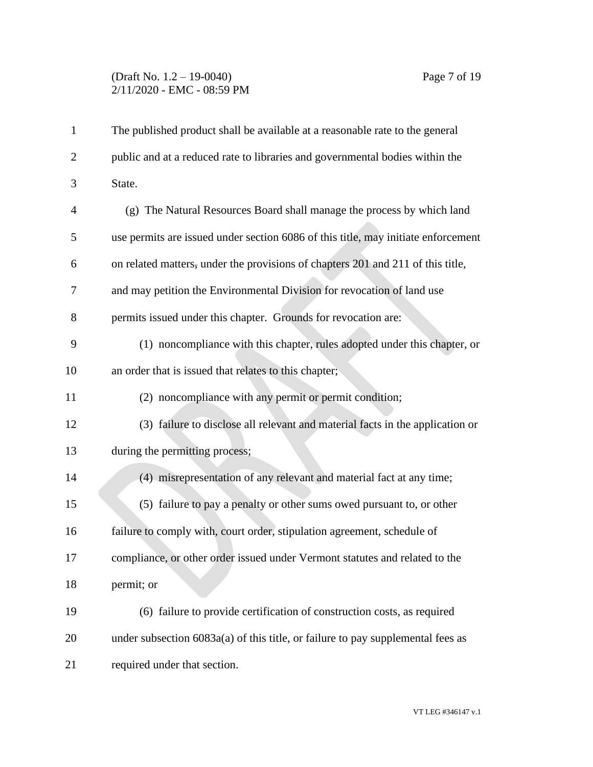# (Draft No. 1.2 – 19-0040) Page 7 of 19 2/11/2020 - EMC - 08:59 PM

| $\mathbf{1}$   | The published product shall be available at a reasonable rate to the general      |
|----------------|-----------------------------------------------------------------------------------|
| $\overline{2}$ | public and at a reduced rate to libraries and governmental bodies within the      |
| 3              | State.                                                                            |
| $\overline{4}$ | (g) The Natural Resources Board shall manage the process by which land            |
| 5              | use permits are issued under section 6086 of this title, may initiate enforcement |
| 6              | on related matters, under the provisions of chapters 201 and 211 of this title,   |
| 7              | and may petition the Environmental Division for revocation of land use            |
| 8              | permits issued under this chapter. Grounds for revocation are:                    |
| 9              | (1) noncompliance with this chapter, rules adopted under this chapter, or         |
| 10             | an order that is issued that relates to this chapter;                             |
| 11             | (2) noncompliance with any permit or permit condition;                            |
| 12             | (3) failure to disclose all relevant and material facts in the application or     |
| 13             | during the permitting process;                                                    |
| 14             | (4) misrepresentation of any relevant and material fact at any time;              |
| 15             | (5) failure to pay a penalty or other sums owed pursuant to, or other             |
| 16             | failure to comply with, court order, stipulation agreement, schedule of           |
| 17             | compliance, or other order issued under Vermont statutes and related to the       |
| 18             | permit; or                                                                        |
| 19             | (6) failure to provide certification of construction costs, as required           |
| 20             | under subsection $6083a(a)$ of this title, or failure to pay supplemental fees as |
| 21             | required under that section.                                                      |
|                |                                                                                   |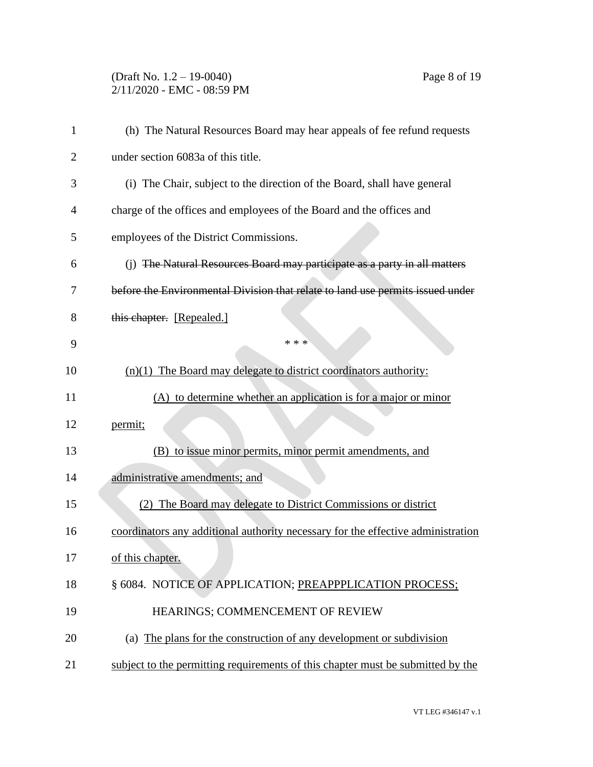## (Draft No. 1.2 – 19-0040) Page 8 of 19 2/11/2020 - EMC - 08:59 PM

| 1  | (h) The Natural Resources Board may hear appeals of fee refund requests          |
|----|----------------------------------------------------------------------------------|
| 2  | under section 6083a of this title.                                               |
| 3  | (i) The Chair, subject to the direction of the Board, shall have general         |
| 4  | charge of the offices and employees of the Board and the offices and             |
| 5  | employees of the District Commissions.                                           |
| 6  | (j) The Natural Resources Board may participate as a party in all matters        |
| 7  | before the Environmental Division that relate to land use permits issued under   |
| 8  | this chapter. [Repealed.]                                                        |
| 9  | * * *                                                                            |
| 10 | $(n)(1)$ The Board may delegate to district coordinators authority:              |
| 11 | (A) to determine whether an application is for a major or minor                  |
| 12 | permit;                                                                          |
| 13 | to issue minor permits, minor permit amendments, and<br>(B)                      |
| 14 | administrative amendments; and                                                   |
| 15 | The Board may delegate to District Commissions or district                       |
| 16 | coordinators any additional authority necessary for the effective administration |
| 17 | of this chapter.                                                                 |
| 18 | § 6084. NOTICE OF APPLICATION; PREAPPPLICATION PROCESS;                          |
| 19 | HEARINGS; COMMENCEMENT OF REVIEW                                                 |
| 20 | (a) The plans for the construction of any development or subdivision             |
| 21 | subject to the permitting requirements of this chapter must be submitted by the  |
|    |                                                                                  |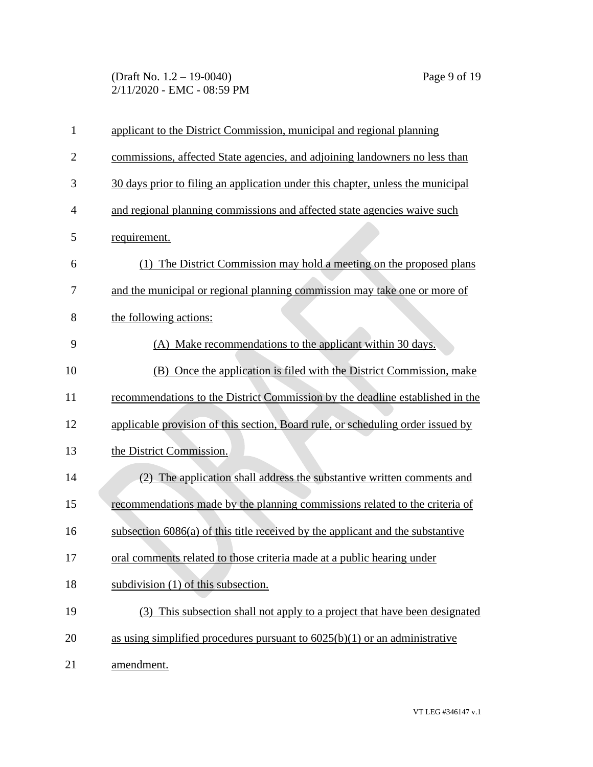(Draft No. 1.2 – 19-0040) Page 9 of 19 2/11/2020 - EMC - 08:59 PM

| $\mathbf{1}$   | applicant to the District Commission, municipal and regional planning            |
|----------------|----------------------------------------------------------------------------------|
| $\overline{2}$ | commissions, affected State agencies, and adjoining landowners no less than      |
| 3              | 30 days prior to filing an application under this chapter, unless the municipal  |
| $\overline{4}$ | and regional planning commissions and affected state agencies waive such         |
| 5              | requirement.                                                                     |
| 6              | (1) The District Commission may hold a meeting on the proposed plans             |
| 7              | and the municipal or regional planning commission may take one or more of        |
| 8              | the following actions:                                                           |
| 9              | (A) Make recommendations to the applicant within 30 days.                        |
| 10             | (B) Once the application is filed with the District Commission, make             |
| 11             | recommendations to the District Commission by the deadline established in the    |
| 12             | applicable provision of this section, Board rule, or scheduling order issued by  |
| 13             | the District Commission.                                                         |
| 14             | (2) The application shall address the substantive written comments and           |
| 15             | recommendations made by the planning commissions related to the criteria of      |
| 16             | subsection $6086(a)$ of this title received by the applicant and the substantive |
| 17             | oral comments related to those criteria made at a public hearing under           |
| 18             | subdivision (1) of this subsection.                                              |
| 19             | (3) This subsection shall not apply to a project that have been designated       |
| 20             | as using simplified procedures pursuant to $6025(b)(1)$ or an administrative     |
| 21             | amendment.                                                                       |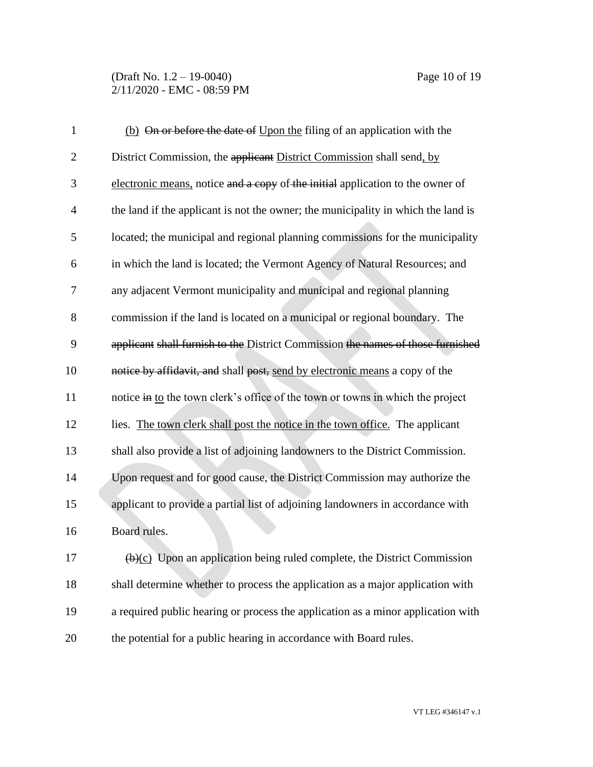(Draft No. 1.2 – 19-0040) Page 10 of 19 2/11/2020 - EMC - 08:59 PM

| $\mathbf{1}$   | (b) On or before the date of Upon the filing of an application with the               |
|----------------|---------------------------------------------------------------------------------------|
| $\overline{2}$ | District Commission, the applicant District Commission shall send, by                 |
| 3              | electronic means, notice and a copy of the initial application to the owner of        |
| $\overline{4}$ | the land if the applicant is not the owner; the municipality in which the land is     |
| 5              | located; the municipal and regional planning commissions for the municipality         |
| 6              | in which the land is located; the Vermont Agency of Natural Resources; and            |
| 7              | any adjacent Vermont municipality and municipal and regional planning                 |
| 8              | commission if the land is located on a municipal or regional boundary. The            |
| 9              | applicant shall furnish to the District Commission the names of those furnished       |
| 10             | notice by affidavit, and shall post, send by electronic means a copy of the           |
| 11             | notice in to the town clerk's office of the town or towns in which the project        |
| 12             | lies. The town clerk shall post the notice in the town office. The applicant          |
| 13             | shall also provide a list of adjoining landowners to the District Commission.         |
| 14             | Upon request and for good cause, the District Commission may authorize the            |
| 15             | applicant to provide a partial list of adjoining landowners in accordance with        |
| 16             | Board rules.                                                                          |
| 17             | $\overline{(b)(c)}$ Upon an application being ruled complete, the District Commission |
| 18             | shall determine whether to process the application as a major application with        |
| 19             | a required public hearing or process the application as a minor application with      |
| 20             | the potential for a public hearing in accordance with Board rules.                    |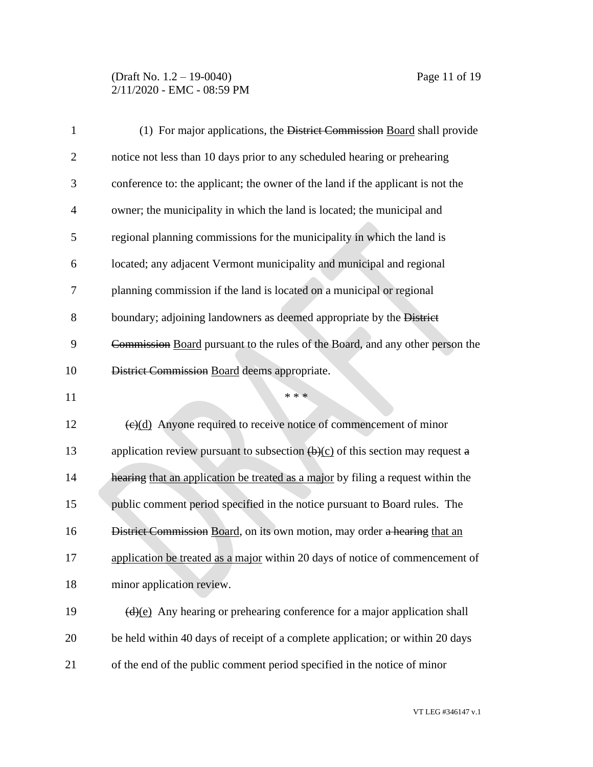### (Draft No. 1.2 – 19-0040) Page 11 of 19 2/11/2020 - EMC - 08:59 PM

| $\mathbf{1}$   | (1) For major applications, the District Commission Board shall provide               |
|----------------|---------------------------------------------------------------------------------------|
| $\overline{2}$ | notice not less than 10 days prior to any scheduled hearing or prehearing             |
| 3              | conference to: the applicant; the owner of the land if the applicant is not the       |
| $\overline{4}$ | owner; the municipality in which the land is located; the municipal and               |
| 5              | regional planning commissions for the municipality in which the land is               |
| 6              | located; any adjacent Vermont municipality and municipal and regional                 |
| 7              | planning commission if the land is located on a municipal or regional                 |
| 8              | boundary; adjoining landowners as deemed appropriate by the District                  |
| 9              | Commission Board pursuant to the rules of the Board, and any other person the         |
| 10             | District Commission Board deems appropriate.                                          |
| 11             | * * *                                                                                 |
| 12             | $\left(\frac{e}{d}\right)$ Anyone required to receive notice of commencement of minor |
| 13             | application review pursuant to subsection $(\theta)(c)$ of this section may request a |
| 14             | hearing that an application be treated as a major by filing a request within the      |
| 15             | public comment period specified in the notice pursuant to Board rules. The            |
| 16             | District Commission Board, on its own motion, may order a hearing that an             |
| 17             | application be treated as a major within 20 days of notice of commencement of         |
| 18             | minor application review.                                                             |
| 19             | $\frac{d}{e}$ Any hearing or prehearing conference for a major application shall      |
| 20             | be held within 40 days of receipt of a complete application; or within 20 days        |
| 21             | of the end of the public comment period specified in the notice of minor              |

VT LEG #346147 v.1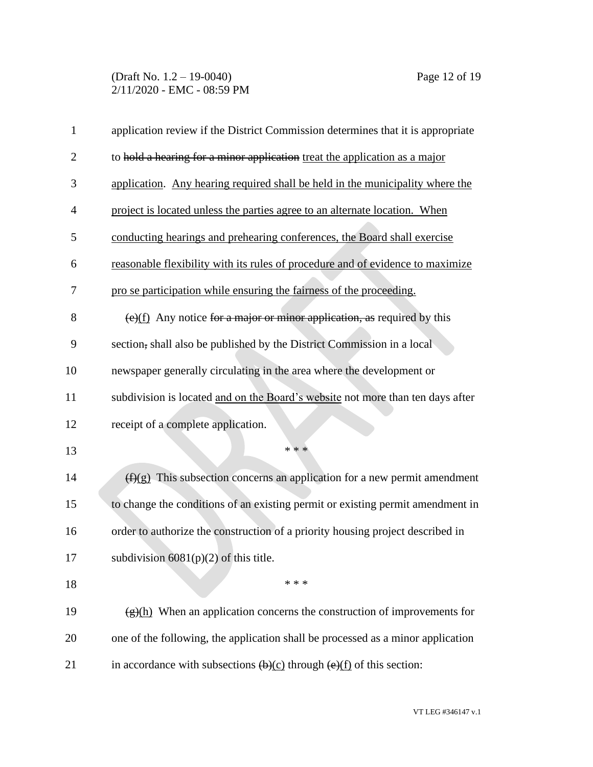| $\mathbf{1}$   | application review if the District Commission determines that it is appropriate                               |
|----------------|---------------------------------------------------------------------------------------------------------------|
| $\overline{2}$ | to hold a hearing for a minor application treat the application as a major                                    |
| 3              | application. Any hearing required shall be held in the municipality where the                                 |
| 4              | project is located unless the parties agree to an alternate location. When                                    |
| 5              | conducting hearings and prehearing conferences, the Board shall exercise                                      |
| 6              | reasonable flexibility with its rules of procedure and of evidence to maximize                                |
| 7              | pro se participation while ensuring the fairness of the proceeding.                                           |
| 8              | $\left(\frac{e}{f}\right)$ Any notice for a major or minor application, as required by this                   |
| 9              | section, shall also be published by the District Commission in a local                                        |
| 10             | newspaper generally circulating in the area where the development or                                          |
| 11             | subdivision is located and on the Board's website not more than ten days after                                |
| 12             | receipt of a complete application.                                                                            |
| 13             | * * *                                                                                                         |
| 14             | $(f)(g)$ This subsection concerns an application for a new permit amendment                                   |
| 15             | to change the conditions of an existing permit or existing permit amendment in                                |
| 16             | order to authorize the construction of a priority housing project described in                                |
| 17             | subdivision $6081(p)(2)$ of this title.                                                                       |
| 18             | * * *                                                                                                         |
| 19             | $\frac{f(x)(h)}{h}$ When an application concerns the construction of improvements for                         |
| 20             | one of the following, the application shall be processed as a minor application                               |
| 21             | in accordance with subsections $\left(\frac{b}{c}\right)$ through $\left(\frac{e}{f}\right)$ of this section: |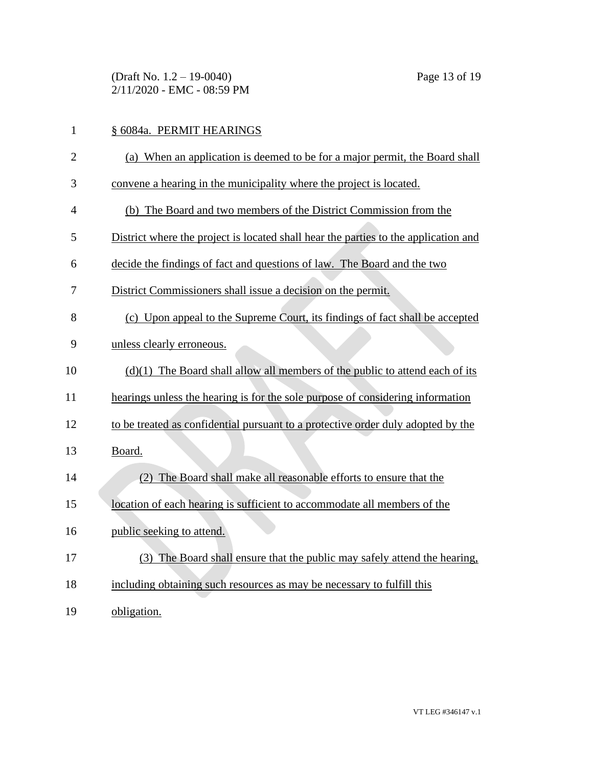(Draft No. 1.2 – 19-0040) Page 13 of 19 2/11/2020 - EMC - 08:59 PM

| $\mathbf{1}$   | § 6084a. PERMIT HEARINGS                                                            |
|----------------|-------------------------------------------------------------------------------------|
| $\overline{2}$ | (a) When an application is deemed to be for a major permit, the Board shall         |
| 3              | convene a hearing in the municipality where the project is located.                 |
| 4              | (b) The Board and two members of the District Commission from the                   |
| 5              | District where the project is located shall hear the parties to the application and |
| 6              | decide the findings of fact and questions of law. The Board and the two             |
| 7              | District Commissioners shall issue a decision on the permit.                        |
| 8              | (c) Upon appeal to the Supreme Court, its findings of fact shall be accepted        |
| 9              | unless clearly erroneous.                                                           |
| 10             | $(d)(1)$ The Board shall allow all members of the public to attend each of its      |
| 11             | hearings unless the hearing is for the sole purpose of considering information      |
| 12             | to be treated as confidential pursuant to a protective order duly adopted by the    |
| 13             | Board.                                                                              |
| 14             | (2) The Board shall make all reasonable efforts to ensure that the                  |
| 15             | location of each hearing is sufficient to accommodate all members of the            |
| 16             | public seeking to attend.                                                           |
| 17             | (3) The Board shall ensure that the public may safely attend the hearing,           |
| 18             | including obtaining such resources as may be necessary to fulfill this              |
| 19             | obligation.                                                                         |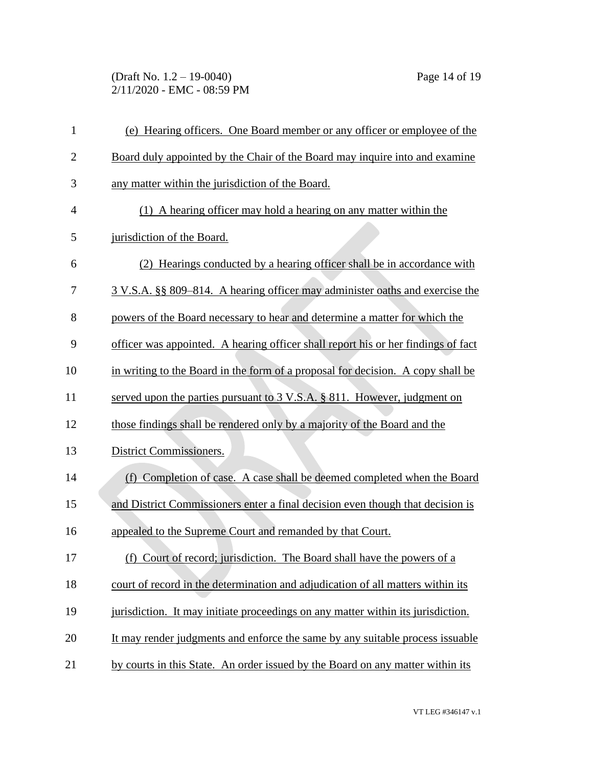(Draft No. 1.2 – 19-0040) Page 14 of 19 2/11/2020 - EMC - 08:59 PM

| $\mathbf{1}$   | (e) Hearing officers. One Board member or any officer or employee of the           |
|----------------|------------------------------------------------------------------------------------|
| $\overline{2}$ | Board duly appointed by the Chair of the Board may inquire into and examine        |
| 3              | any matter within the jurisdiction of the Board.                                   |
| $\overline{4}$ | (1) A hearing officer may hold a hearing on any matter within the                  |
| 5              | jurisdiction of the Board.                                                         |
| 6              | (2) Hearings conducted by a hearing officer shall be in accordance with            |
| 7              | 3 V.S.A. §§ 809–814. A hearing officer may administer oaths and exercise the       |
| 8              | powers of the Board necessary to hear and determine a matter for which the         |
| 9              | officer was appointed. A hearing officer shall report his or her findings of fact  |
| 10             | in writing to the Board in the form of a proposal for decision. A copy shall be    |
| 11             | served upon the parties pursuant to $3 \text{ V.S.A.}$ § 811. However, judgment on |
| 12             | those findings shall be rendered only by a majority of the Board and the           |
| 13             | District Commissioners.                                                            |
| 14             | (f) Completion of case. A case shall be deemed completed when the Board            |
| 15             | and District Commissioners enter a final decision even though that decision is     |
| 16             | appealed to the Supreme Court and remanded by that Court.                          |
| 17             | (f) Court of record; jurisdiction. The Board shall have the powers of a            |
| 18             | court of record in the determination and adjudication of all matters within its    |
| 19             | jurisdiction. It may initiate proceedings on any matter within its jurisdiction.   |
| 20             | It may render judgments and enforce the same by any suitable process issuable      |
| 21             | by courts in this State. An order issued by the Board on any matter within its     |

VT LEG #346147 v.1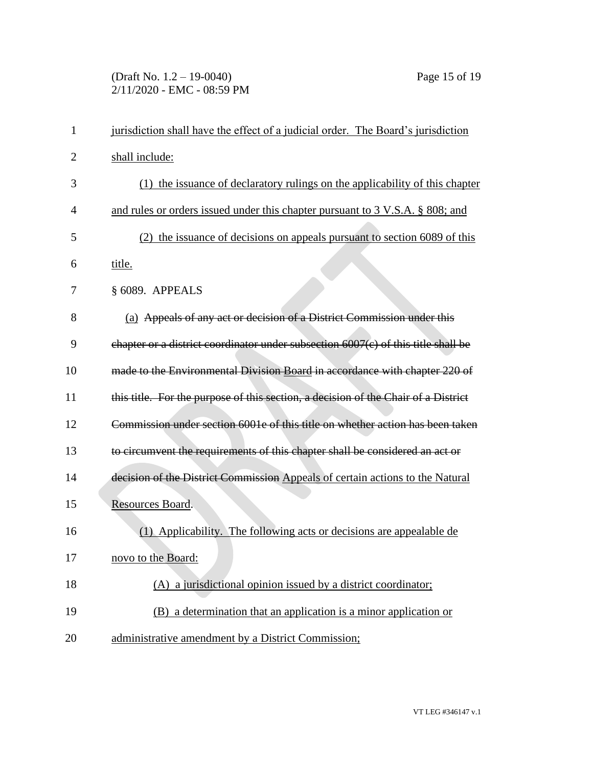# (Draft No. 1.2 – 19-0040) Page 15 of 19 2/11/2020 - EMC - 08:59 PM

| $\mathbf{1}$ | jurisdiction shall have the effect of a judicial order. The Board's jurisdiction   |
|--------------|------------------------------------------------------------------------------------|
| 2            | shall include:                                                                     |
| 3            | (1) the issuance of declaratory rulings on the applicability of this chapter       |
| 4            | and rules or orders issued under this chapter pursuant to 3 V.S.A. § 808; and      |
| 5            | (2) the issuance of decisions on appeals pursuant to section 6089 of this          |
| 6            | title.                                                                             |
| 7            | § 6089. APPEALS                                                                    |
| 8            | (a) Appeals of any act or decision of a District Commission under this             |
| 9            | chapter or a district coordinator under subsection 6007(c) of this title shall be  |
| 10           | made to the Environmental Division Board in accordance with chapter 220 of         |
| 11           | this title. For the purpose of this section, a decision of the Chair of a District |
| 12           | Commission under section 6001e of this title on whether action has been taken      |
| 13           | to circumvent the requirements of this chapter shall be considered an act or       |
| 14           | decision of the District Commission Appeals of certain actions to the Natural      |
| 15           | Resources Board.                                                                   |
| 16           | (1) Applicability. The following acts or decisions are appealable de               |
| 17           | novo to the Board:                                                                 |
| 18           | (A) a jurisdictional opinion issued by a district coordinator;                     |
| 19           | (B) a determination that an application is a minor application or                  |
| 20           | administrative amendment by a District Commission;                                 |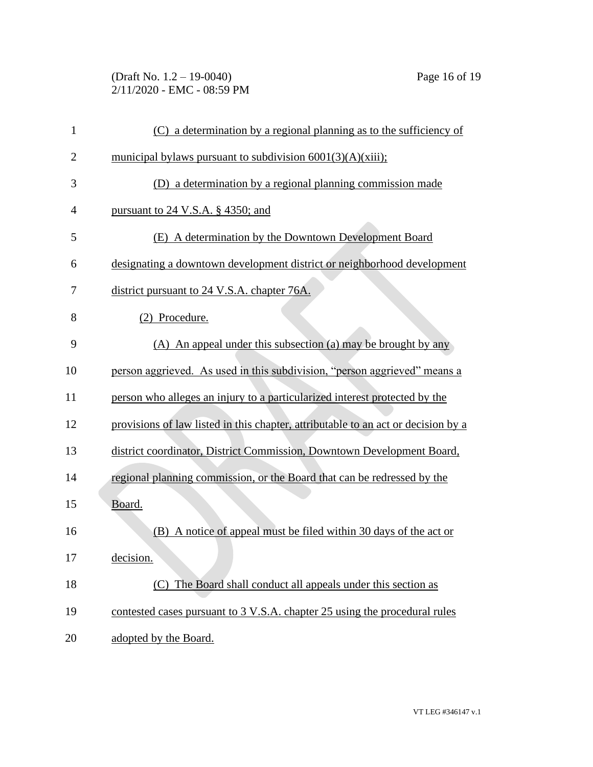# (Draft No. 1.2 – 19-0040) Page 16 of 19 2/11/2020 - EMC - 08:59 PM

| 1              | (C) a determination by a regional planning as to the sufficiency of               |
|----------------|-----------------------------------------------------------------------------------|
| $\overline{2}$ | municipal bylaws pursuant to subdivision $6001(3)(A)(xiii)$ ;                     |
| 3              | (D) a determination by a regional planning commission made                        |
| 4              | pursuant to 24 V.S.A. § 4350; and                                                 |
| 5              | (E) A determination by the Downtown Development Board                             |
| 6              | designating a downtown development district or neighborhood development           |
| 7              | district pursuant to 24 V.S.A. chapter 76A.                                       |
| 8              | (2) Procedure.                                                                    |
| 9              | (A) An appeal under this subsection (a) may be brought by any                     |
| 10             | person aggrieved. As used in this subdivision, "person aggrieved" means a         |
| 11             | person who alleges an injury to a particularized interest protected by the        |
| 12             | provisions of law listed in this chapter, attributable to an act or decision by a |
| 13             | district coordinator, District Commission, Downtown Development Board,            |
| 14             | regional planning commission, or the Board that can be redressed by the           |
| 15             | Board.                                                                            |
| 16             | (B) A notice of appeal must be filed within 30 days of the act or                 |
| 17             | decision.                                                                         |
| 18             | (C) The Board shall conduct all appeals under this section as                     |
| 19             | contested cases pursuant to 3 V.S.A. chapter 25 using the procedural rules        |
| 20             | adopted by the Board.                                                             |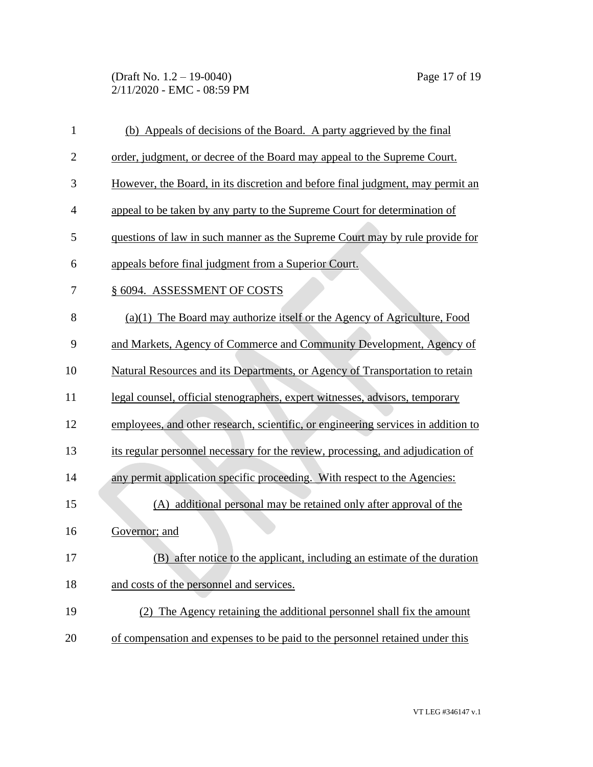(Draft No. 1.2 – 19-0040) Page 17 of 19 2/11/2020 - EMC - 08:59 PM

| $\mathbf{1}$   | (b) Appeals of decisions of the Board. A party aggrieved by the final             |
|----------------|-----------------------------------------------------------------------------------|
| $\overline{2}$ | order, judgment, or decree of the Board may appeal to the Supreme Court.          |
| 3              | However, the Board, in its discretion and before final judgment, may permit an    |
| $\overline{4}$ | appeal to be taken by any party to the Supreme Court for determination of         |
| 5              | questions of law in such manner as the Supreme Court may by rule provide for      |
| 6              | appeals before final judgment from a Superior Court.                              |
| 7              | § 6094. ASSESSMENT OF COSTS                                                       |
| 8              | $(a)(1)$ The Board may authorize itself or the Agency of Agriculture, Food        |
| 9              | and Markets, Agency of Commerce and Community Development, Agency of              |
| 10             | Natural Resources and its Departments, or Agency of Transportation to retain      |
| 11             | legal counsel, official stenographers, expert witnesses, advisors, temporary      |
| 12             | employees, and other research, scientific, or engineering services in addition to |
| 13             | its regular personnel necessary for the review, processing, and adjudication of   |
| 14             | any permit application specific proceeding. With respect to the Agencies:         |
| 15             | (A) additional personal may be retained only after approval of the                |
| 16             | Governor; and                                                                     |
| 17             | (B) after notice to the applicant, including an estimate of the duration          |
| 18             | and costs of the personnel and services.                                          |
| 19             | (2) The Agency retaining the additional personnel shall fix the amount            |
| 20             | of compensation and expenses to be paid to the personnel retained under this      |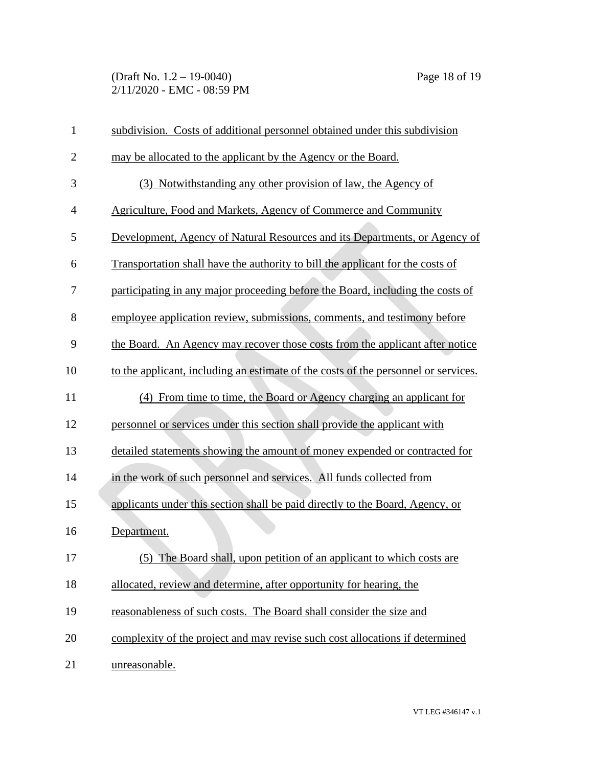(Draft No. 1.2 – 19-0040) Page 18 of 19 2/11/2020 - EMC - 08:59 PM

| $\mathbf{1}$   | subdivision. Costs of additional personnel obtained under this subdivision         |
|----------------|------------------------------------------------------------------------------------|
| $\overline{2}$ | may be allocated to the applicant by the Agency or the Board.                      |
| 3              | (3) Notwithstanding any other provision of law, the Agency of                      |
| $\overline{4}$ | Agriculture, Food and Markets, Agency of Commerce and Community                    |
| 5              | Development, Agency of Natural Resources and its Departments, or Agency of         |
| 6              | Transportation shall have the authority to bill the applicant for the costs of     |
| 7              | participating in any major proceeding before the Board, including the costs of     |
| 8              | employee application review, submissions, comments, and testimony before           |
| 9              | the Board. An Agency may recover those costs from the applicant after notice       |
| 10             | to the applicant, including an estimate of the costs of the personnel or services. |
| 11             | (4) From time to time, the Board or Agency charging an applicant for               |
| 12             | personnel or services under this section shall provide the applicant with          |
| 13             | detailed statements showing the amount of money expended or contracted for         |
| 14             | in the work of such personnel and services. All funds collected from               |
| 15             | applicants under this section shall be paid directly to the Board, Agency, or      |
| 16             | Department.                                                                        |
| 17             | (5) The Board shall, upon petition of an applicant to which costs are              |
| 18             | allocated, review and determine, after opportunity for hearing, the                |
| 19             | reasonableness of such costs. The Board shall consider the size and                |
| 20             | complexity of the project and may revise such cost allocations if determined       |
| 21             | unreasonable.                                                                      |